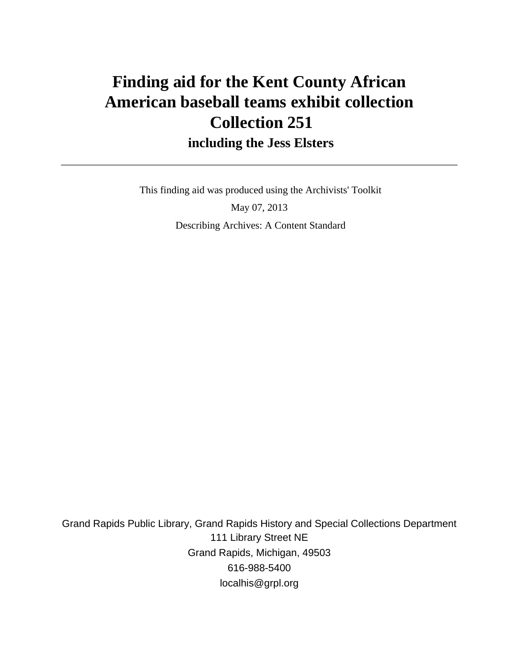# **Finding aid for the Kent County African American baseball teams exhibit collection Collection 251 including the Jess Elsters**

 This finding aid was produced using the Archivists' Toolkit May 07, 2013 Describing Archives: A Content Standard

Grand Rapids Public Library, Grand Rapids History and Special Collections Department 111 Library Street NE Grand Rapids, Michigan, 49503 616-988-5400 localhis@grpl.org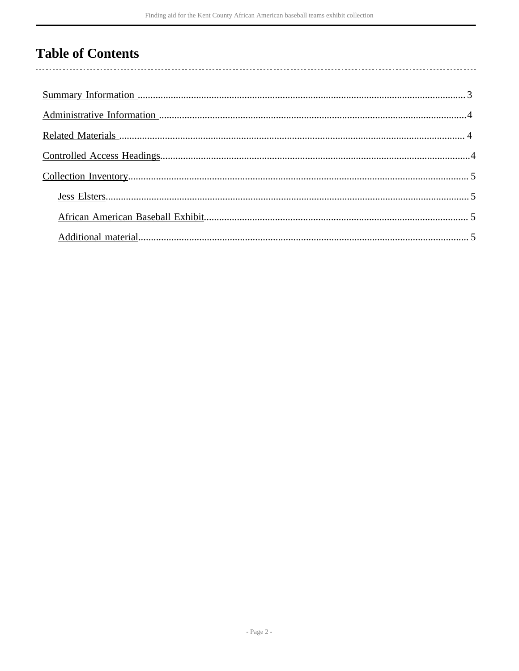## **Table of Contents**

l,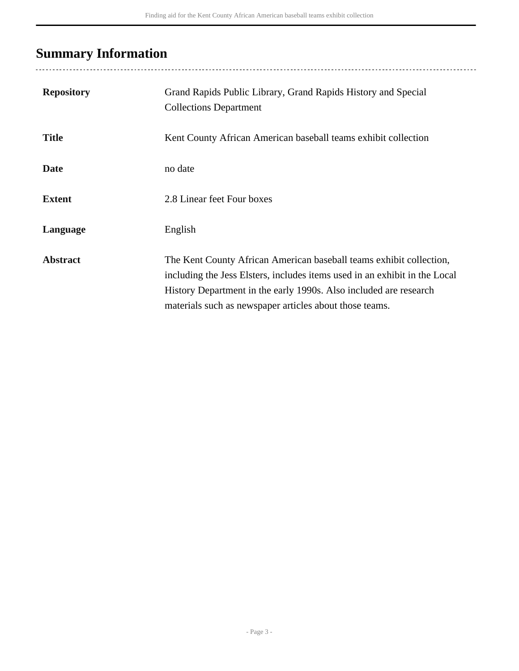# <span id="page-2-0"></span>**Summary Information**

| <b>Repository</b> | Grand Rapids Public Library, Grand Rapids History and Special<br><b>Collections Department</b>                                                                                                                                                                                    |
|-------------------|-----------------------------------------------------------------------------------------------------------------------------------------------------------------------------------------------------------------------------------------------------------------------------------|
| <b>Title</b>      | Kent County African American baseball teams exhibit collection                                                                                                                                                                                                                    |
| <b>Date</b>       | no date                                                                                                                                                                                                                                                                           |
| <b>Extent</b>     | 2.8 Linear feet Four boxes                                                                                                                                                                                                                                                        |
| Language          | English                                                                                                                                                                                                                                                                           |
| <b>Abstract</b>   | The Kent County African American baseball teams exhibit collection,<br>including the Jess Elsters, includes items used in an exhibit in the Local<br>History Department in the early 1990s. Also included are research<br>materials such as newspaper articles about those teams. |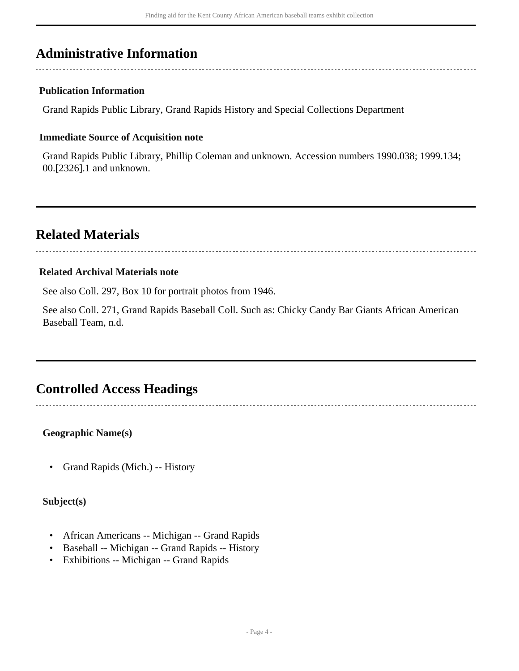## <span id="page-3-0"></span>**Administrative Information**

#### **Publication Information**

Grand Rapids Public Library, Grand Rapids History and Special Collections Department

#### **Immediate Source of Acquisition note**

Grand Rapids Public Library, Phillip Coleman and unknown. Accession numbers 1990.038; 1999.134; 00.[2326].1 and unknown.

### <span id="page-3-1"></span>**Related Materials**

#### **Related Archival Materials note**

See also Coll. 297, Box 10 for portrait photos from 1946.

See also Coll. 271, Grand Rapids Baseball Coll. Such as: Chicky Candy Bar Giants African American Baseball Team, n.d.

### <span id="page-3-2"></span>**Controlled Access Headings**

**Geographic Name(s)**

• Grand Rapids (Mich.) -- History

**Subject(s)**

- African Americans -- Michigan -- Grand Rapids
- Baseball -- Michigan -- Grand Rapids -- History
- Exhibitions -- Michigan -- Grand Rapids